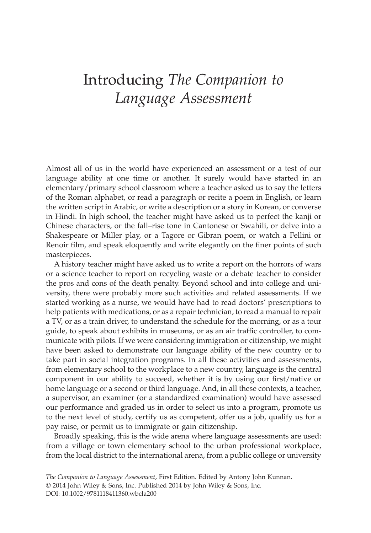# Introducing *The Companion to Language Assessment*

Almost all of us in the world have experienced an assessment or a test of our language ability at one time or another. It surely would have started in an elementary/primary school classroom where a teacher asked us to say the letters of the Roman alphabet, or read a paragraph or recite a poem in English, or learn the written script in Arabic, or write a description or a story in Korean, or converse in Hindi. In high school, the teacher might have asked us to perfect the kanji or Chinese characters, or the fall–rise tone in Cantonese or Swahili, or delve into a Shakespeare or Miller play, or a Tagore or Gibran poem, or watch a Fellini or Renoir film, and speak eloquently and write elegantly on the finer points of such masterpieces.

A history teacher might have asked us to write a report on the horrors of wars or a science teacher to report on recycling waste or a debate teacher to consider the pros and cons of the death penalty. Beyond school and into college and university, there were probably more such activities and related assessments. If we started working as a nurse, we would have had to read doctors' prescriptions to help patients with medications, or as a repair technician, to read a manual to repair a TV, or as a train driver, to understand the schedule for the morning, or as a tour guide, to speak about exhibits in museums, or as an air traffic controller, to communicate with pilots. If we were considering immigration or citizenship, we might have been asked to demonstrate our language ability of the new country or to take part in social integration programs. In all these activities and assessments, from elementary school to the workplace to a new country, language is the central component in our ability to succeed, whether it is by using our first/native or home language or a second or third language. And, in all these contexts, a teacher, a supervisor, an examiner (or a standardized examination) would have assessed our performance and graded us in order to select us into a program, promote us to the next level of study, certify us as competent, offer us a job, qualify us for a pay raise, or permit us to immigrate or gain citizenship.

Broadly speaking, this is the wide arena where language assessments are used: from a village or town elementary school to the urban professional workplace, from the local district to the international arena, from a public college or university

*The Companion to Language Assessment*, First Edition. Edited by Antony John Kunnan. © 2014 John Wiley & Sons, Inc. Published 2014 by John Wiley & Sons, Inc. DOI: 10.1002/9781118411360.wbcla200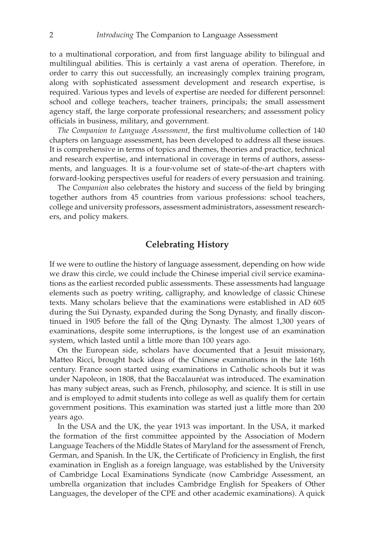to a multinational corporation, and from first language ability to bilingual and multilingual abilities. This is certainly a vast arena of operation. Therefore, in order to carry this out successfully, an increasingly complex training program, along with sophisticated assessment development and research expertise, is required. Various types and levels of expertise are needed for different personnel: school and college teachers, teacher trainers, principals; the small assessment agency staff, the large corporate professional researchers; and assessment policy officials in business, military, and government.

*The Companion to Language Assessment*, the first multivolume collection of 140 chapters on language assessment, has been developed to address all these issues. It is comprehensive in terms of topics and themes, theories and practice, technical and research expertise, and international in coverage in terms of authors, assessments, and languages. It is a four-volume set of state-of-the-art chapters with forward-looking perspectives useful for readers of every persuasion and training.

The *Companion* also celebrates the history and success of the field by bringing together authors from 45 countries from various professions: school teachers, college and university professors, assessment administrators, assessment researchers, and policy makers.

#### **Celebrating History**

If we were to outline the history of language assessment, depending on how wide we draw this circle, we could include the Chinese imperial civil service examinations as the earliest recorded public assessments. These assessments had language elements such as poetry writing, calligraphy, and knowledge of classic Chinese texts. Many scholars believe that the examinations were established in AD 605 during the Sui Dynasty, expanded during the Song Dynasty, and finally discontinued in 1905 before the fall of the Qing Dynasty. The almost 1,300 years of examinations, despite some interruptions, is the longest use of an examination system, which lasted until a little more than 100 years ago.

On the European side, scholars have documented that a Jesuit missionary, Matteo Ricci, brought back ideas of the Chinese examinations in the late 16th century. France soon started using examinations in Catholic schools but it was under Napoleon, in 1808, that the Baccalauréat was introduced. The examination has many subject areas, such as French, philosophy, and science. It is still in use and is employed to admit students into college as well as qualify them for certain government positions. This examination was started just a little more than 200 years ago.

In the USA and the UK, the year 1913 was important. In the USA, it marked the formation of the first committee appointed by the Association of Modern Language Teachers of the Middle States of Maryland for the assessment of French, German, and Spanish. In the UK, the Certificate of Proficiency in English, the first examination in English as a foreign language, was established by the University of Cambridge Local Examinations Syndicate (now Cambridge Assessment, an umbrella organization that includes Cambridge English for Speakers of Other Languages, the developer of the CPE and other academic examinations). A quick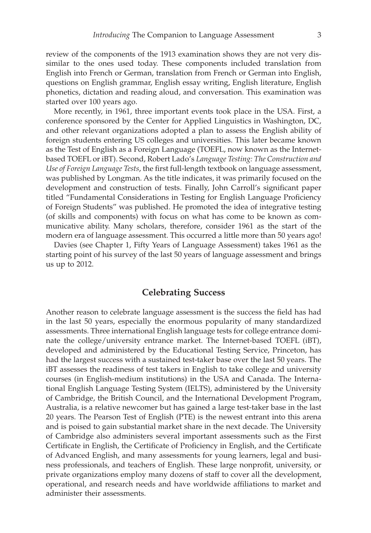review of the components of the 1913 examination shows they are not very dissimilar to the ones used today. These components included translation from English into French or German, translation from French or German into English, questions on English grammar, English essay writing, English literature, English phonetics, dictation and reading aloud, and conversation. This examination was started over 100 years ago.

More recently, in 1961, three important events took place in the USA. First, a conference sponsored by the Center for Applied Linguistics in Washington, DC, and other relevant organizations adopted a plan to assess the English ability of foreign students entering US colleges and universities. This later became known as the Test of English as a Foreign Language (TOEFL, now known as the Internetbased TOEFL or iBT). Second, Robert Lado's *Language Testing: The Construction and Use of Foreign Language Tests*, the first full-length textbook on language assessment, was published by Longman. As the title indicates, it was primarily focused on the development and construction of tests. Finally, John Carroll's significant paper titled "Fundamental Considerations in Testing for English Language Proficiency of Foreign Students" was published. He promoted the idea of integrative testing (of skills and components) with focus on what has come to be known as communicative ability. Many scholars, therefore, consider 1961 as the start of the modern era of language assessment. This occurred a little more than 50 years ago!

Davies (see Chapter 1, Fifty Years of Language Assessment) takes 1961 as the starting point of his survey of the last 50 years of language assessment and brings us up to 2012.

#### **Celebrating Success**

Another reason to celebrate language assessment is the success the field has had in the last 50 years, especially the enormous popularity of many standardized assessments. Three international English language tests for college entrance dominate the college/university entrance market. The Internet-based TOEFL (iBT), developed and administered by the Educational Testing Service, Princeton, has had the largest success with a sustained test-taker base over the last 50 years. The iBT assesses the readiness of test takers in English to take college and university courses (in English-medium institutions) in the USA and Canada. The International English Language Testing System (IELTS), administered by the University of Cambridge, the British Council, and the International Development Program, Australia, is a relative newcomer but has gained a large test-taker base in the last 20 years. The Pearson Test of English (PTE) is the newest entrant into this arena and is poised to gain substantial market share in the next decade. The University of Cambridge also administers several important assessments such as the First Certificate in English, the Certificate of Proficiency in English, and the Certificate of Advanced English, and many assessments for young learners, legal and business professionals, and teachers of English. These large nonprofit, university, or private organizations employ many dozens of staff to cover all the development, operational, and research needs and have worldwide affiliations to market and administer their assessments.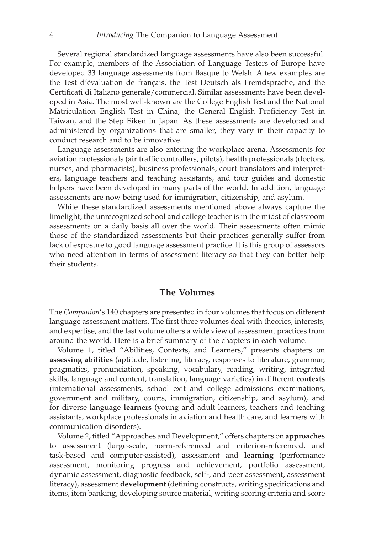Several regional standardized language assessments have also been successful. For example, members of the Association of Language Testers of Europe have developed 33 language assessments from Basque to Welsh. A few examples are the Test d'évaluation de français, the Test Deutsch als Fremdsprache, and the Certificati di Italiano generale/commercial. Similar assessments have been developed in Asia. The most well-known are the College English Test and the National Matriculation English Test in China, the General English Proficiency Test in Taiwan, and the Step Eiken in Japan. As these assessments are developed and administered by organizations that are smaller, they vary in their capacity to conduct research and to be innovative.

Language assessments are also entering the workplace arena. Assessments for aviation professionals (air traffic controllers, pilots), health professionals (doctors, nurses, and pharmacists), business professionals, court translators and interpreters, language teachers and teaching assistants, and tour guides and domestic helpers have been developed in many parts of the world. In addition, language assessments are now being used for immigration, citizenship, and asylum.

While these standardized assessments mentioned above always capture the limelight, the unrecognized school and college teacher is in the midst of classroom assessments on a daily basis all over the world. Their assessments often mimic those of the standardized assessments but their practices generally suffer from lack of exposure to good language assessment practice. It is this group of assessors who need attention in terms of assessment literacy so that they can better help their students.

### **The Volumes**

The *Companion*'s 140 chapters are presented in four volumes that focus on different language assessment matters. The first three volumes deal with theories, interests, and expertise, and the last volume offers a wide view of assessment practices from around the world. Here is a brief summary of the chapters in each volume.

Volume 1, titled "Abilities, Contexts, and Learners," presents chapters on **assessing abilities** (aptitude, listening, literacy, responses to literature, grammar, pragmatics, pronunciation, speaking, vocabulary, reading, writing, integrated skills, language and content, translation, language varieties) in different **contexts** (international assessments, school exit and college admissions examinations, government and military, courts, immigration, citizenship, and asylum), and for diverse language **learners** (young and adult learners, teachers and teaching assistants, workplace professionals in aviation and health care, and learners with communication disorders).

Volume 2, titled "Approaches and Development," offers chapters on **approaches** to assessment (large-scale, norm-referenced and criterion-referenced, and task-based and computer-assisted), assessment and **learning** (performance assessment, monitoring progress and achievement, portfolio assessment, dynamic assessment, diagnostic feedback, self-, and peer assessment, assessment literacy), assessment **development** (defining constructs, writing specifications and items, item banking, developing source material, writing scoring criteria and score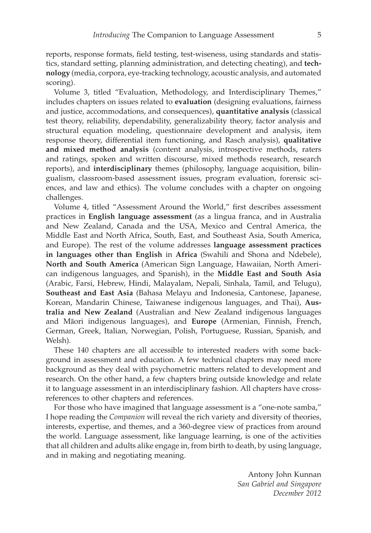reports, response formats, field testing, test-wiseness, using standards and statistics, standard setting, planning administration, and detecting cheating), and **technology** (media, corpora, eye-tracking technology, acoustic analysis, and automated scoring).

Volume 3, titled "Evaluation, Methodology, and Interdisciplinary Themes," includes chapters on issues related to **evaluation** (designing evaluations, fairness and justice, accommodations, and consequences), **quantitative analysis** (classical test theory, reliability, dependability, generalizability theory, factor analysis and structural equation modeling, questionnaire development and analysis, item response theory, differential item functioning, and Rasch analysis), **qualitative and mixed method analysis** (content analysis, introspective methods, raters and ratings, spoken and written discourse, mixed methods research, research reports), and **interdisciplinary** themes (philosophy, language acquisition, bilingualism, classroom-based assessment issues, program evaluation, forensic sciences, and law and ethics). The volume concludes with a chapter on ongoing challenges.

Volume 4, titled "Assessment Around the World," first describes assessment practices in **English language assessment** (as a lingua franca, and in Australia and New Zealand, Canada and the USA, Mexico and Central America, the Middle East and North Africa, South, East, and Southeast Asia, South America, and Europe). The rest of the volume addresses **language assessment practices in languages other than English** in **Africa** (Swahili and Shona and Ndebele), **North and South America** (American Sign Language, Hawaiian, North American indigenous languages, and Spanish), in the **Middle East and South Asia** (Arabic, Farsi, Hebrew, Hindi, Malayalam, Nepali, Sinhala, Tamil, and Telugu), **Southeast and East Asia** (Bahasa Melayu and Indonesia, Cantonese, Japanese, Korean, Mandarin Chinese, Taiwanese indigenous languages, and Thai), **Australia and New Zealand** (Australian and New Zealand indigenous languages and Māori indigenous languages), and **Europe** (Armenian, Finnish, French, German, Greek, Italian, Norwegian, Polish, Portuguese, Russian, Spanish, and Welsh).

These 140 chapters are all accessible to interested readers with some background in assessment and education. A few technical chapters may need more background as they deal with psychometric matters related to development and research. On the other hand, a few chapters bring outside knowledge and relate it to language assessment in an interdisciplinary fashion. All chapters have crossreferences to other chapters and references.

For those who have imagined that language assessment is a "one-note samba," I hope reading the *Companion* will reveal the rich variety and diversity of theories, interests, expertise, and themes, and a 360-degree view of practices from around the world. Language assessment, like language learning, is one of the activities that all children and adults alike engage in, from birth to death, by using language, and in making and negotiating meaning.

> Antony John Kunnan *San Gabriel and Singapore December 2012*